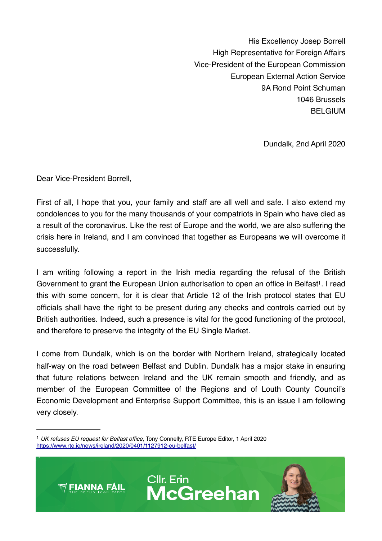His Excellency Josep Borrell High Representative for Foreign Affairs Vice-President of the European Commission European External Action Service 9A Rond Point Schuman 1046 Brussels BELGIUM

Dundalk, 2nd April 2020

Dear Vice-President Borrell,

First of all, I hope that you, your family and staff are all well and safe. I also extend my condolences to you for the many thousands of your compatriots in Spain who have died as a result of the coronavirus. Like the rest of Europe and the world, we are also suffering the crisis here in Ireland, and I am convinced that together as Europeans we will overcome it successfully.

I am writing following a report in the Irish media regarding the refusal of the British Government to grant the European Union authorisation to open an office in Belfast<sup>1</sup>. I read this with some concern, for it is clear that Article 12 of the Irish protocol states that EU officials shall have the right to be present during any checks and controls carried out by British authorities. Indeed, such a presence is vital for the good functioning of the protocol, and therefore to preserve the integrity of the EU Single Market.

I come from Dundalk, which is on the border with Northern Ireland, strategically located half-way on the road between Belfast and Dublin. Dundalk has a major stake in ensuring that future relations between Ireland and the UK remain smooth and friendly, and as member of the European Committee of the Regions and of Louth County Council's Economic Development and Enterprise Support Committee, this is an issue I am following very closely.

<span id="page-0-0"></span><sup>1</sup> *UK refuses EU request for Belfast office*, Tony Connelly, RTE Europe Editor, 1 April 2020 <https://www.rte.ie/news/ireland/2020/0401/1127912-eu-belfast/>